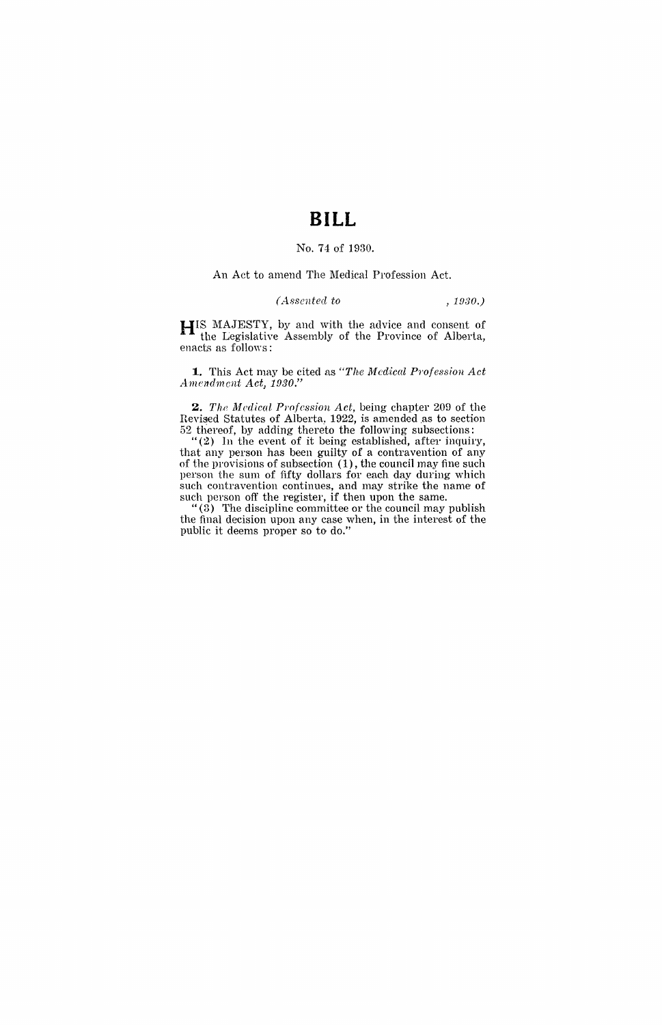## **BILL**

## No. 74 of 1930.

An Act to amend The Medical Profession Act.

## *( Assented to , 1930.)*

**HIS** MAJESTY, by and with the advice and consent of the Legislative Assembly of the Province of Alberta, enacts as follows:

**1.** This Act may be cited as *"Tlve Medical Profession Act AnwJ1dmcnt Act, 1930."* 

**2.** *The Medical Profession Act, being chapter 209 of the* Revised Statutes of Alberta, 1922, is amended as to section 52 thereof, by adding thereto the following subsections:

" $(2)$  In the event of it being established, after inquiry, that any person has been guilty of a contravention of any of the provisions of subsection (1), the council may fine such person the sum of fifty dollars for each day during which such contravention continues, and may strike the name of such person off the register, if then upon the same.

" (3) The discipline committee or the council may publish the final decision upon any case when, in the interest of the public it deems proper so to do."